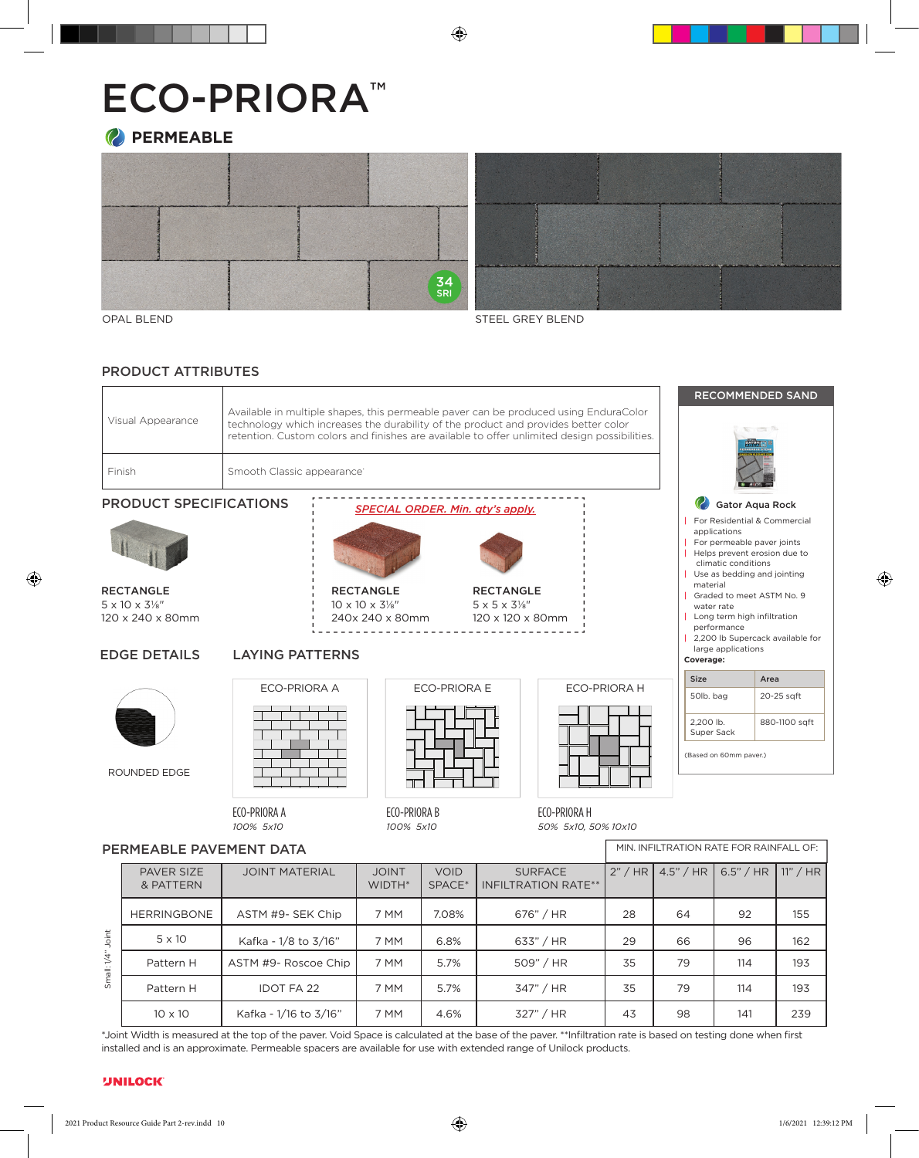# ECO-PRIORA™







OPAL BLEND

STEEL GREY BLEND

# PRODUCT ATTRIBUTES

|                   |                                                                                                                                                                                                                                                                            | <b>RECOMMEN</b>                                                           |
|-------------------|----------------------------------------------------------------------------------------------------------------------------------------------------------------------------------------------------------------------------------------------------------------------------|---------------------------------------------------------------------------|
| Visual Appearance | Available in multiple shapes, this permeable payer can be produced using EnduraColor<br>technology which increases the durability of the product and provides better color<br>retention. Custom colors and finishes are available to offer unlimited design possibilities. | $\mathcal{L} \rightarrow \mathcal{L}$<br><b>FATURE</b><br><b>EQMEASLE</b> |
| Finish            | Smooth Classic appearance:                                                                                                                                                                                                                                                 | <b>NE ASTO NO BER</b><br>$\bullet$ Allena                                 |

# PRODUCT SPECIFICATIONS



**RECTANGLE** 5 x 10 x 3⅛ " 120 x 240 x 80mm

EDGE DETAILS

# **LAYING PATTERNS**

ECO-PRIORA A



ROUNDED EDGE



 $\frac{1}{1}$  10 x 10 x 3⅓" patterns may not necessary reflects may be a set that the patterns may be a set that  $240 \times 80$  mm RECTANGLE

#### 100% 5" x 10" 120 x 120 x 80mm Some patterns may not necessarily reflect the percentages of stone sizes with a particular bundle of stone sizes with a particular bundle of stone sizes with configuration. In some cases you may have extras in some cases you may have extras in the sound of the sound of **RECTANGLE**  $5 \times 5 \times 3\frac{1}{8}$

percentages of stone sizes within a particular bundle

ECO-PRIORA E

# ECO-PRIORA H

|                      |                                |                       |                        | .                         |                                              | ______  |                   |                                         |            |  |  |
|----------------------|--------------------------------|-----------------------|------------------------|---------------------------|----------------------------------------------|---------|-------------------|-----------------------------------------|------------|--|--|
|                      | ECO-PRIORA A<br>100% 5x10      |                       |                        | ECO-PRIORA B<br>100% 5x10 | ECO-PRIORA H<br>50% 5x10, 50% 10x10          |         |                   |                                         |            |  |  |
|                      | PERMEABLE PAVEMENT DATA        |                       |                        |                           |                                              |         |                   | MIN. INFILTRATION RATE FOR RAINFALL OF: |            |  |  |
|                      | <b>PAVER SIZE</b><br>& PATTERN | <b>JOINT MATERIAL</b> | <b>JOINT</b><br>WIDTH* | <b>VOID</b><br>SPACE*     | <b>SURFACE</b><br><b>INFILTRATION RATE**</b> | 2" / HR | 4.5" / HR $\vert$ | 6.5" / HR                               | $11"$ / HR |  |  |
| Joint<br>Small: 1/4" | <b>HERRINGBONE</b>             | ASTM #9- SEK Chip     | 7 MM                   | 7.08%                     | 676" / HR                                    | 28      | 64                | 92                                      | 155        |  |  |
|                      | $5 \times 10$                  | Kafka - 1/8 to 3/16"  | 7 MM                   | 6.8%                      | 633" / HR                                    | 29      | 66                | 96                                      | 162        |  |  |
|                      | Pattern H                      | ASTM #9- Roscoe Chip  |                        | 5.7%                      | 509" / HR                                    | 35      | 79                | 114                                     | 193        |  |  |
|                      | Pattern H                      | <b>IDOT FA 22</b>     | 5.7%<br>7 MM           |                           | 347" / HR                                    | 35      | 79                | 114                                     | 193        |  |  |
|                      | $10 \times 10$                 | Kafka - 1/16 to 3/16" | 7 MM                   | 4.6%                      | 327" / HR                                    | 43      | 98                | 141                                     | 239        |  |  |

\*Joint Width is measured at the top of the paver. Void Space is calculated at the base of the paver. \*\*Infiltration rate is based on testing done when first installed and is an approximate. Permeable spacers are available for use with extended range of Unilock products.

# Gator Aqua Rock | For Residential & Commercial applications For permeable paver joints Helps prevent erosion due to climatic conditions | Use as bedding and jointing material<br>I Graded t | Graded to meet ASTM No. 9 water rate Eco-Prioria® Pattern E 50% 5" x 10" 50% 10" x 10"

| Long term high infiltration performance 2,200 lb Supercack available for large applications **Coverage:**  Size **Area** 50lb. bag 20-25 sqft 2,200 lb. Super Sack 880-1100 sqft

DED SAND

 $-17$ 

(Based on 60mm paver.)